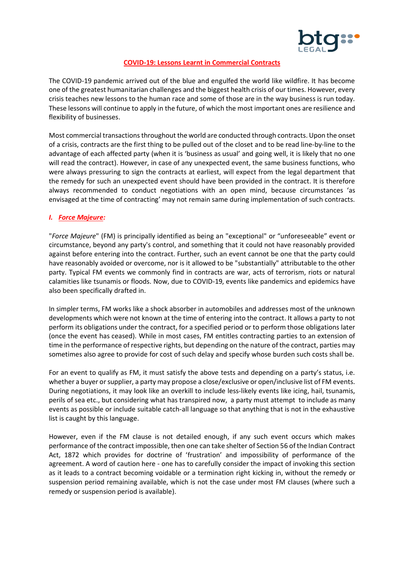

### **COVID-19: Lessons Learnt in Commercial Contracts**

The COVID-19 pandemic arrived out of the blue and engulfed the world like wildfire. It has become one of the greatest humanitarian challenges and the biggest health crisis of our times. However, every crisis teaches new lessons to the human race and some of those are in the way business is run today. These lessons will continue to apply in the future, of which the most important ones are resilience and flexibility of businesses.

Most commercial transactionsthroughout the world are conducted through contracts.Upon the onset of a crisis, contracts are the first thing to be pulled out of the closet and to be read line-by-line to the advantage of each affected party (when it is 'business as usual' and going well, it is likely that no one will read the contract). However, in case of any unexpected event, the same business functions, who were always pressuring to sign the contracts at earliest, will expect from the legal department that the remedy for such an unexpected event should have been provided in the contract. It is therefore always recommended to conduct negotiations with an open mind, because circumstances 'as envisaged at the time of contracting' may not remain same during implementation of such contracts.

## *I. Force Majeure:*

"*Force Majeure*" (FM) is principally identified as being an "exceptional" or "unforeseeable" event or circumstance, beyond any party's control, and something that it could not have reasonably provided against before entering into the contract. Further, such an event cannot be one that the party could have reasonably avoided or overcome, nor is it allowed to be "substantially" attributable to the other party. Typical FM events we commonly find in contracts are war, acts of terrorism, riots or natural calamities like tsunamis or floods. Now, due to COVID-19, events like pandemics and epidemics have also been specifically drafted in.

In simpler terms, FM works like a shock absorber in automobiles and addresses most of the unknown developments which were not known at the time of entering into the contract. It allows a party to not perform its obligations under the contract, for a specified period or to perform those obligations later (once the event has ceased). While in most cases, FM entitles contracting parties to an extension of time in the performance of respective rights, but depending on the nature of the contract, parties may sometimes also agree to provide for cost of such delay and specify whose burden such costs shall be.

For an event to qualify as FM, it must satisfy the above tests and depending on a party's status, i.e. whether a buyer or supplier, a party may propose a close/exclusive or open/inclusive list of FM events. During negotiations, it may look like an overkill to include less-likely events like icing, hail, tsunamis, perils of sea etc., but considering what has transpired now, a party must attempt to include as many events as possible or include suitable catch-all language so that anything that is not in the exhaustive list is caught by this language.

However, even if the FM clause is not detailed enough, if any such event occurs which makes performance of the contract impossible, then one can take shelter of Section 56 of the Indian Contract Act, 1872 which provides for doctrine of 'frustration' and impossibility of performance of the agreement. A word of caution here - one has to carefully consider the impact of invoking this section as it leads to a contract becoming voidable or a termination right kicking in, without the remedy or suspension period remaining available, which is not the case under most FM clauses (where such a remedy or suspension period is available).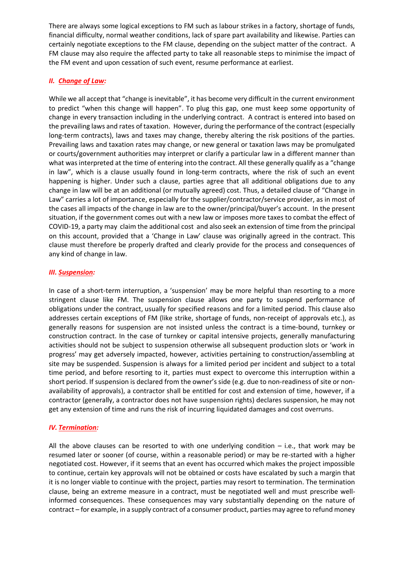There are always some logical exceptions to FM such as labour strikes in a factory, shortage of funds, financial difficulty, normal weather conditions, lack of spare part availability and likewise. Parties can certainly negotiate exceptions to the FM clause, depending on the subject matter of the contract. A FM clause may also require the affected party to take all reasonable steps to minimise the impact of the FM event and upon cessation of such event, resume performance at earliest.

# *II. Change of Law:*

While we all accept that "change is inevitable", it has become very difficult in the current environment to predict "when this change will happen". To plug this gap, one must keep some opportunity of change in every transaction including in the underlying contract. A contract is entered into based on the prevailing laws and rates of taxation. However, during the performance of the contract (especially long-term contracts), laws and taxes may change, thereby altering the risk positions of the parties. Prevailing laws and taxation rates may change, or new general or taxation laws may be promulgated or courts/government authorities may interpret or clarify a particular law in a different manner than what was interpreted at the time of entering into the contract. All these generally qualify as a "change in law", which is a clause usually found in long-term contracts, where the risk of such an event happening is higher. Under such a clause, parties agree that all additional obligations due to any change in law will be at an additional (or mutually agreed) cost. Thus, a detailed clause of "Change in Law" carries a lot of importance, especially for the supplier/contractor/service provider, as in most of the cases all impacts of the change in law are to the owner/principal/buyer's account. In the present situation, if the government comes out with a new law or imposes more taxes to combat the effect of COVID-19, a party may claim the additional cost and also seek an extension of time from the principal on this account, provided that a 'Change in Law' clause was originally agreed in the contract. This clause must therefore be properly drafted and clearly provide for the process and consequences of any kind of change in law.

## *III. Suspension:*

In case of a short-term interruption, a 'suspension' may be more helpful than resorting to a more stringent clause like FM. The suspension clause allows one party to suspend performance of obligations under the contract, usually for specified reasons and for a limited period. This clause also addresses certain exceptions of FM (like strike, shortage of funds, non-receipt of approvals etc.), as generally reasons for suspension are not insisted unless the contract is a time-bound, turnkey or construction contract. In the case of turnkey or capital intensive projects, generally manufacturing activities should not be subject to suspension otherwise all subsequent production slots or 'work in progress' may get adversely impacted, however, activities pertaining to construction/assembling at site may be suspended. Suspension is always for a limited period per incident and subject to a total time period, and before resorting to it, parties must expect to overcome this interruption within a short period. If suspension is declared from the owner's side (e.g. due to non-readiness of site or nonavailability of approvals), a contractor shall be entitled for cost and extension of time, however, if a contractor (generally, a contractor does not have suspension rights) declares suspension, he may not get any extension of time and runs the risk of incurring liquidated damages and cost overruns.

### *IV. Termination:*

All the above clauses can be resorted to with one underlying condition  $-$  i.e., that work may be resumed later or sooner (of course, within a reasonable period) or may be re-started with a higher negotiated cost. However, if it seems that an event has occurred which makes the project impossible to continue, certain key approvals will not be obtained or costs have escalated by such a margin that it is no longer viable to continue with the project, parties may resort to termination. The termination clause, being an extreme measure in a contract, must be negotiated well and must prescribe wellinformed consequences. These consequences may vary substantially depending on the nature of contract – for example, in a supply contract of a consumer product, parties may agree to refund money